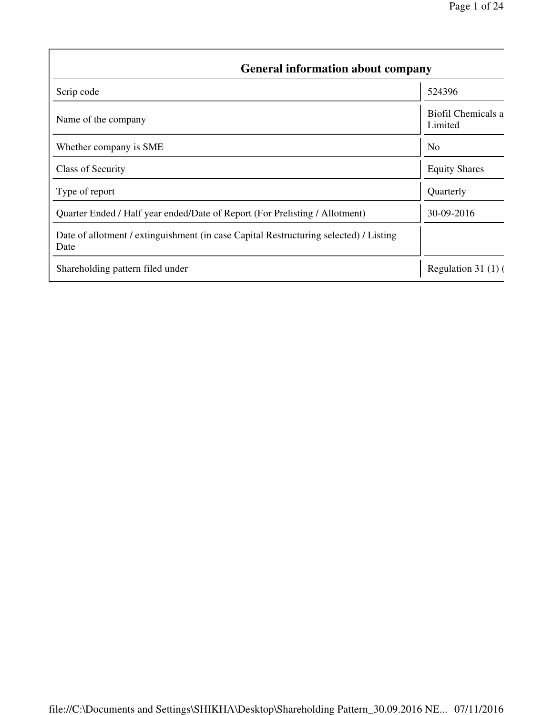| <b>General information about company</b>                                                      |                               |  |  |  |  |
|-----------------------------------------------------------------------------------------------|-------------------------------|--|--|--|--|
| Scrip code                                                                                    | 524396                        |  |  |  |  |
| Name of the company                                                                           | Biofil Chemicals a<br>Limited |  |  |  |  |
| Whether company is SME                                                                        | N <sub>0</sub>                |  |  |  |  |
| <b>Class of Security</b>                                                                      | <b>Equity Shares</b>          |  |  |  |  |
| Type of report                                                                                | Quarterly                     |  |  |  |  |
| Quarter Ended / Half year ended/Date of Report (For Prelisting / Allotment)                   | 30-09-2016                    |  |  |  |  |
| Date of allotment / extinguishment (in case Capital Restructuring selected) / Listing<br>Date |                               |  |  |  |  |
| Shareholding pattern filed under                                                              | Regulation $31(1)$ (          |  |  |  |  |

 $\sqrt{ }$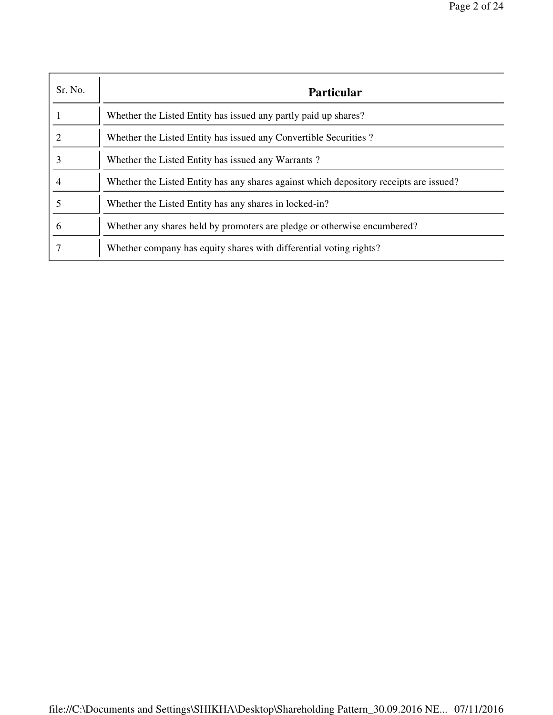| Sr. No. | <b>Particular</b>                                                                      |
|---------|----------------------------------------------------------------------------------------|
|         | Whether the Listed Entity has issued any partly paid up shares?                        |
| 2       | Whether the Listed Entity has issued any Convertible Securities?                       |
| 3       | Whether the Listed Entity has issued any Warrants?                                     |
| 4       | Whether the Listed Entity has any shares against which depository receipts are issued? |
|         | Whether the Listed Entity has any shares in locked-in?                                 |
| 6       | Whether any shares held by promoters are pledge or otherwise encumbered?               |
|         | Whether company has equity shares with differential voting rights?                     |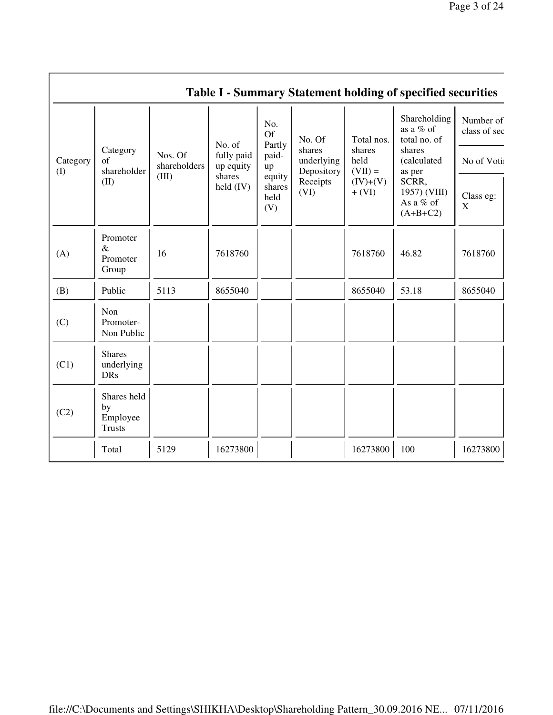|                          |                                                |                                  |                                                            |                                                                |                                                                  |                                                                     | <b>Table I - Summary Statement holding of specified securities</b>                                                 |                                                                           |
|--------------------------|------------------------------------------------|----------------------------------|------------------------------------------------------------|----------------------------------------------------------------|------------------------------------------------------------------|---------------------------------------------------------------------|--------------------------------------------------------------------------------------------------------------------|---------------------------------------------------------------------------|
| Category<br>$($ $\Gamma$ | Category<br>of<br>shareholder<br>(II)          | Nos. Of<br>shareholders<br>(III) | No. of<br>fully paid<br>up equity<br>shares<br>held $(IV)$ | No.<br>Of<br>Partly<br>paid-<br>up<br>equity<br>shares<br>held | No. Of<br>shares<br>underlying<br>Depository<br>Receipts<br>(VI) | Total nos.<br>shares<br>held<br>$(VII) =$<br>$(IV)+(V)$<br>$+ (VI)$ | Shareholding<br>as a % of<br>total no. of<br>shares<br>(calculated<br>as per<br>SCRR,<br>1957) (VIII)<br>As a % of | Number of<br>class of sec<br>No of Voti:<br>Class eg:<br>$\boldsymbol{X}$ |
|                          |                                                |                                  |                                                            | (V)                                                            |                                                                  |                                                                     | $(A+B+C2)$                                                                                                         |                                                                           |
| (A)                      | Promoter<br>$\&$<br>Promoter<br>Group          | 16                               | 7618760                                                    |                                                                |                                                                  | 7618760                                                             | 46.82                                                                                                              | 7618760                                                                   |
| (B)                      | Public                                         | 5113                             | 8655040                                                    |                                                                |                                                                  | 8655040                                                             | 53.18                                                                                                              | 8655040                                                                   |
| (C)                      | Non<br>Promoter-<br>Non Public                 |                                  |                                                            |                                                                |                                                                  |                                                                     |                                                                                                                    |                                                                           |
| (C1)                     | <b>Shares</b><br>underlying<br><b>DRs</b>      |                                  |                                                            |                                                                |                                                                  |                                                                     |                                                                                                                    |                                                                           |
| (C2)                     | Shares held<br>by<br>Employee<br><b>Trusts</b> |                                  |                                                            |                                                                |                                                                  |                                                                     |                                                                                                                    |                                                                           |
|                          | Total                                          | 5129                             | 16273800                                                   |                                                                |                                                                  | 16273800                                                            | 100                                                                                                                | 16273800                                                                  |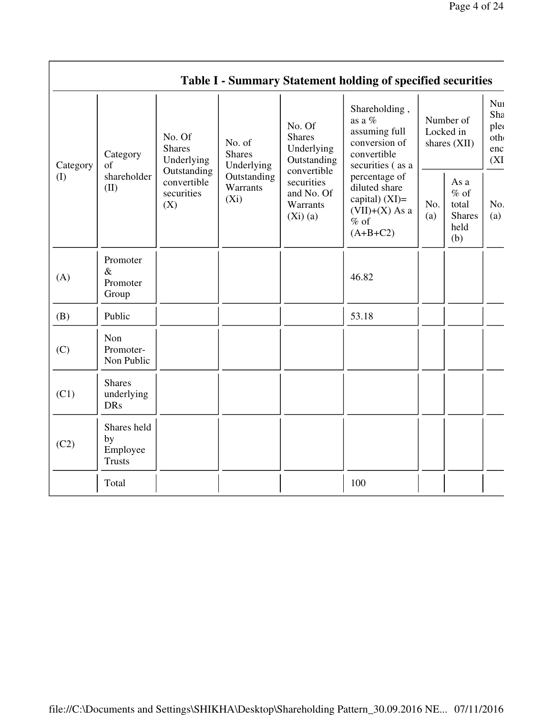|          |                                                                                                                                                                                                                                                                                                                             |                                                                                                 |             | Table I - Summary Statement holding of specified securities                                  |                                        |  |                                          |
|----------|-----------------------------------------------------------------------------------------------------------------------------------------------------------------------------------------------------------------------------------------------------------------------------------------------------------------------------|-------------------------------------------------------------------------------------------------|-------------|----------------------------------------------------------------------------------------------|----------------------------------------|--|------------------------------------------|
| Category | No. Of<br>No. Of<br><b>Shares</b><br>No. of<br><b>Shares</b><br>Underlying<br><b>Shares</b><br>Category<br>Underlying<br>Underlying<br>of<br>Outstanding<br>convertible<br>shareholder<br>Outstanding<br>convertible<br>securities<br>Warrants<br>(II)<br>securities<br>and No. Of<br>$(X_i)$<br>(X)<br>Warrants<br>(Xi)(a) |                                                                                                 | Outstanding | Shareholding,<br>as a %<br>assuming full<br>conversion of<br>convertible<br>securities (as a | Number of<br>Locked in<br>shares (XII) |  | Nui<br>Sha<br>plec<br>oth<br>enc<br>(XI) |
| (I)      |                                                                                                                                                                                                                                                                                                                             | percentage of<br>diluted share<br>capital) $(XI)$ =<br>$(VII)+(X)$ As a<br>$%$ of<br>$(A+B+C2)$ | No.<br>(a)  | As a<br>$%$ of<br>total<br><b>Shares</b><br>held<br>(b)                                      | No.<br>(a)                             |  |                                          |
| (A)      | Promoter<br>$\&$<br>Promoter<br>Group                                                                                                                                                                                                                                                                                       |                                                                                                 |             | 46.82                                                                                        |                                        |  |                                          |
| (B)      | Public                                                                                                                                                                                                                                                                                                                      |                                                                                                 |             | 53.18                                                                                        |                                        |  |                                          |
| (C)      | Non<br>Promoter-<br>Non Public                                                                                                                                                                                                                                                                                              |                                                                                                 |             |                                                                                              |                                        |  |                                          |
| (C1)     | <b>Shares</b><br>underlying<br><b>DRs</b>                                                                                                                                                                                                                                                                                   |                                                                                                 |             |                                                                                              |                                        |  |                                          |
| (C2)     | Shares held<br>by<br>Employee<br><b>Trusts</b>                                                                                                                                                                                                                                                                              |                                                                                                 |             |                                                                                              |                                        |  |                                          |
|          | Total                                                                                                                                                                                                                                                                                                                       |                                                                                                 |             | 100                                                                                          |                                        |  |                                          |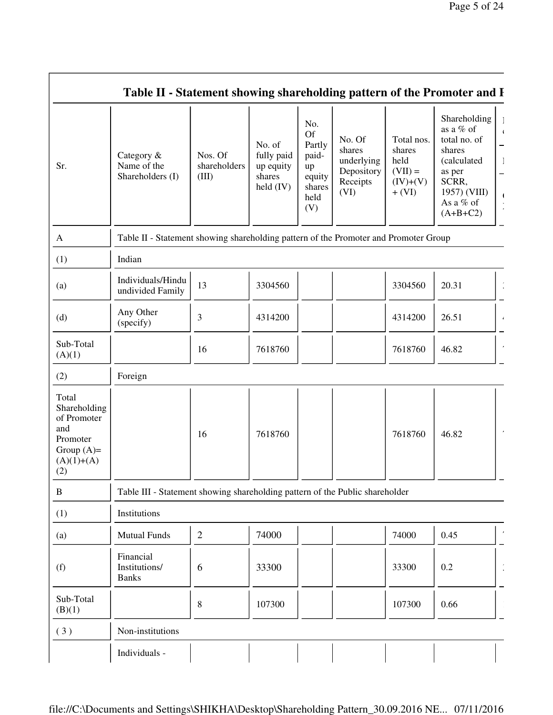|                                                                                                | Table II - Statement showing shareholding pattern of the Promoter and I              |                                  |                                                            |                                                                              |                                                                  |                                                                     |                                                                                                                                  |
|------------------------------------------------------------------------------------------------|--------------------------------------------------------------------------------------|----------------------------------|------------------------------------------------------------|------------------------------------------------------------------------------|------------------------------------------------------------------|---------------------------------------------------------------------|----------------------------------------------------------------------------------------------------------------------------------|
| Sr.                                                                                            | Category &<br>Name of the<br>Shareholders (I)                                        | Nos. Of<br>shareholders<br>(III) | No. of<br>fully paid<br>up equity<br>shares<br>held $(IV)$ | No.<br><b>Of</b><br>Partly<br>paid-<br>up<br>equity<br>shares<br>held<br>(V) | No. Of<br>shares<br>underlying<br>Depository<br>Receipts<br>(VI) | Total nos.<br>shares<br>held<br>$(VII) =$<br>$(IV)+(V)$<br>$+ (VI)$ | Shareholding<br>as a % of<br>total no. of<br>shares<br>(calculated<br>as per<br>SCRR,<br>1957) (VIII)<br>As a % of<br>$(A+B+C2)$ |
| A                                                                                              | Table II - Statement showing shareholding pattern of the Promoter and Promoter Group |                                  |                                                            |                                                                              |                                                                  |                                                                     |                                                                                                                                  |
| (1)                                                                                            | Indian                                                                               |                                  |                                                            |                                                                              |                                                                  |                                                                     |                                                                                                                                  |
| (a)                                                                                            | Individuals/Hindu<br>undivided Family                                                | 13                               | 3304560                                                    |                                                                              |                                                                  | 3304560                                                             | 20.31                                                                                                                            |
| (d)                                                                                            | Any Other<br>(specify)                                                               | 3                                | 4314200                                                    |                                                                              |                                                                  | 4314200                                                             | 26.51                                                                                                                            |
| Sub-Total<br>(A)(1)                                                                            |                                                                                      | 16                               | 7618760                                                    |                                                                              |                                                                  | 7618760                                                             | 46.82                                                                                                                            |
| (2)                                                                                            | Foreign                                                                              |                                  |                                                            |                                                                              |                                                                  |                                                                     |                                                                                                                                  |
| Total<br>Shareholding<br>of Promoter<br>and<br>Promoter<br>Group $(A)=$<br>$(A)(1)+(A)$<br>(2) |                                                                                      | 16                               | 7618760                                                    |                                                                              |                                                                  | 7618760                                                             | 46.82                                                                                                                            |
| $\, {\bf B}$                                                                                   | Table III - Statement showing shareholding pattern of the Public shareholder         |                                  |                                                            |                                                                              |                                                                  |                                                                     |                                                                                                                                  |
| (1)                                                                                            | Institutions                                                                         |                                  |                                                            |                                                                              |                                                                  |                                                                     |                                                                                                                                  |
| (a)                                                                                            | <b>Mutual Funds</b>                                                                  | $\overline{2}$                   | 74000                                                      |                                                                              |                                                                  | 74000                                                               | 0.45                                                                                                                             |
| (f)                                                                                            | Financial<br>Institutions/<br><b>Banks</b>                                           | 6                                | 33300                                                      |                                                                              |                                                                  | 33300                                                               | $0.2\,$                                                                                                                          |
| Sub-Total<br>(B)(1)                                                                            |                                                                                      | 8                                | 107300                                                     |                                                                              |                                                                  | 107300                                                              | 0.66                                                                                                                             |
| (3)                                                                                            | Non-institutions                                                                     |                                  |                                                            |                                                                              |                                                                  |                                                                     |                                                                                                                                  |
|                                                                                                | Individuals -                                                                        |                                  |                                                            |                                                                              |                                                                  |                                                                     |                                                                                                                                  |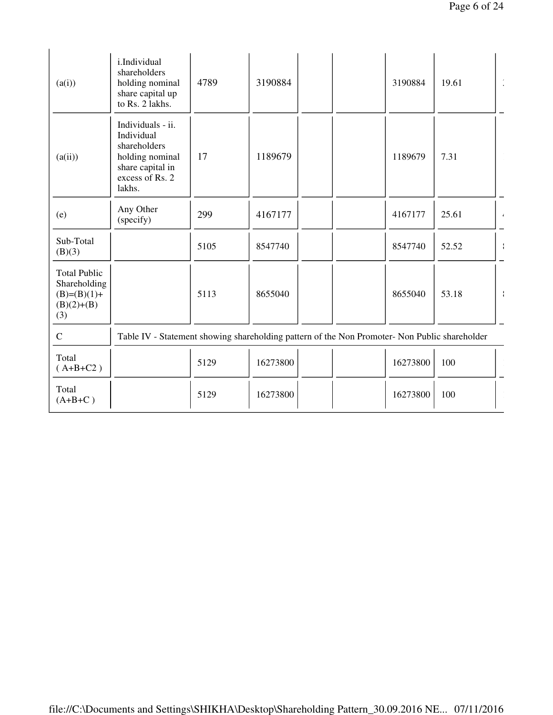| i.Individual<br>shareholders<br>holding nominal<br>share capital up<br>to Rs. 2 lakhs.                              | 4789 | 3190884  |  | 3190884  | 19.61 | $\ddot{\phantom{a}}$                                                                          |
|---------------------------------------------------------------------------------------------------------------------|------|----------|--|----------|-------|-----------------------------------------------------------------------------------------------|
| Individuals - ii.<br>Individual<br>shareholders<br>holding nominal<br>share capital in<br>excess of Rs. 2<br>lakhs. | 17   | 1189679  |  | 1189679  | 7.31  |                                                                                               |
| Any Other<br>(specify)                                                                                              | 299  | 4167177  |  | 4167177  | 25.61 | $\mathbf{z}$                                                                                  |
|                                                                                                                     | 5105 | 8547740  |  | 8547740  | 52.52 |                                                                                               |
|                                                                                                                     | 5113 | 8655040  |  | 8655040  | 53.18 | $\cdot$                                                                                       |
|                                                                                                                     |      |          |  |          |       |                                                                                               |
|                                                                                                                     | 5129 | 16273800 |  | 16273800 | 100   |                                                                                               |
|                                                                                                                     | 5129 | 16273800 |  | 16273800 | 100   |                                                                                               |
|                                                                                                                     |      |          |  |          |       | Table IV - Statement showing shareholding pattern of the Non Promoter- Non Public shareholder |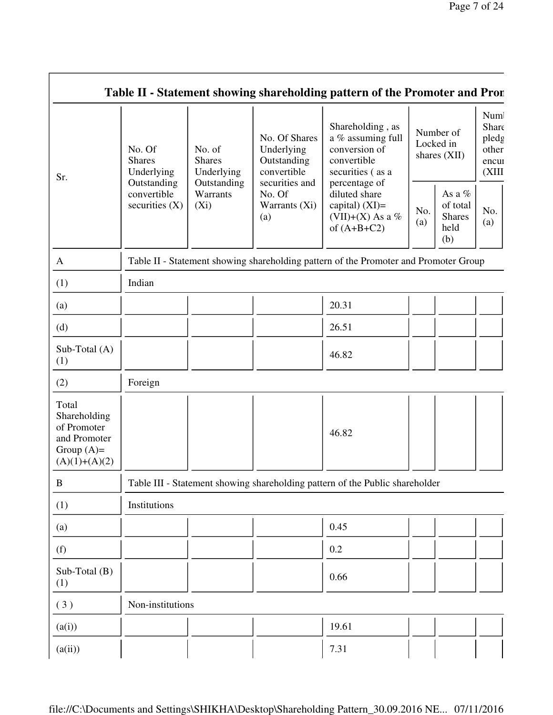| Sr.                                                                                     | No. Of<br><b>Shares</b><br>Underlying          | No. of<br><b>Shares</b><br>Underlying<br>Outstanding | No. Of Shares<br>Underlying<br>Outstanding<br>convertible<br>securities and | Shareholding, as<br>a % assuming full<br>conversion of<br>convertible<br>securities (as a<br>percentage of | Number of<br>Locked in<br>shares (XII) |                                                    | Num<br>Share<br>pledg<br>other<br>encui<br>(XIII) |
|-----------------------------------------------------------------------------------------|------------------------------------------------|------------------------------------------------------|-----------------------------------------------------------------------------|------------------------------------------------------------------------------------------------------------|----------------------------------------|----------------------------------------------------|---------------------------------------------------|
|                                                                                         | Outstanding<br>convertible<br>securities $(X)$ | Warrants<br>$(X_i)$                                  | No. Of<br>Warrants (Xi)<br>(a)                                              | diluted share<br>capital) $(XI)$ =<br>(VII)+(X) As a %<br>of $(A+B+C2)$                                    | No.<br>(a)                             | As a %<br>of total<br><b>Shares</b><br>held<br>(b) | No.<br>(a)                                        |
| $\mathbf{A}$                                                                            |                                                |                                                      |                                                                             | Table II - Statement showing shareholding pattern of the Promoter and Promoter Group                       |                                        |                                                    |                                                   |
| (1)                                                                                     | Indian                                         |                                                      |                                                                             |                                                                                                            |                                        |                                                    |                                                   |
| (a)                                                                                     |                                                |                                                      |                                                                             | 20.31                                                                                                      |                                        |                                                    |                                                   |
| (d)                                                                                     |                                                |                                                      |                                                                             | 26.51                                                                                                      |                                        |                                                    |                                                   |
| Sub-Total (A)<br>(1)                                                                    |                                                |                                                      |                                                                             | 46.82                                                                                                      |                                        |                                                    |                                                   |
| (2)                                                                                     | Foreign                                        |                                                      |                                                                             |                                                                                                            |                                        |                                                    |                                                   |
| Total<br>Shareholding<br>of Promoter<br>and Promoter<br>Group $(A)=$<br>$(A)(1)+(A)(2)$ |                                                |                                                      |                                                                             | 46.82                                                                                                      |                                        |                                                    |                                                   |
| $\, {\bf B}$                                                                            |                                                |                                                      |                                                                             | Table III - Statement showing shareholding pattern of the Public shareholder                               |                                        |                                                    |                                                   |
| (1)                                                                                     | Institutions                                   |                                                      |                                                                             |                                                                                                            |                                        |                                                    |                                                   |
| (a)                                                                                     |                                                |                                                      |                                                                             | 0.45                                                                                                       |                                        |                                                    |                                                   |
| (f)                                                                                     |                                                |                                                      |                                                                             | 0.2                                                                                                        |                                        |                                                    |                                                   |
| Sub-Total (B)<br>(1)                                                                    |                                                |                                                      |                                                                             | 0.66                                                                                                       |                                        |                                                    |                                                   |
| (3)                                                                                     | Non-institutions                               |                                                      |                                                                             |                                                                                                            |                                        |                                                    |                                                   |
| (a(i))                                                                                  |                                                |                                                      |                                                                             | 19.61                                                                                                      |                                        |                                                    |                                                   |
| (a(ii))                                                                                 |                                                |                                                      |                                                                             | 7.31                                                                                                       |                                        |                                                    |                                                   |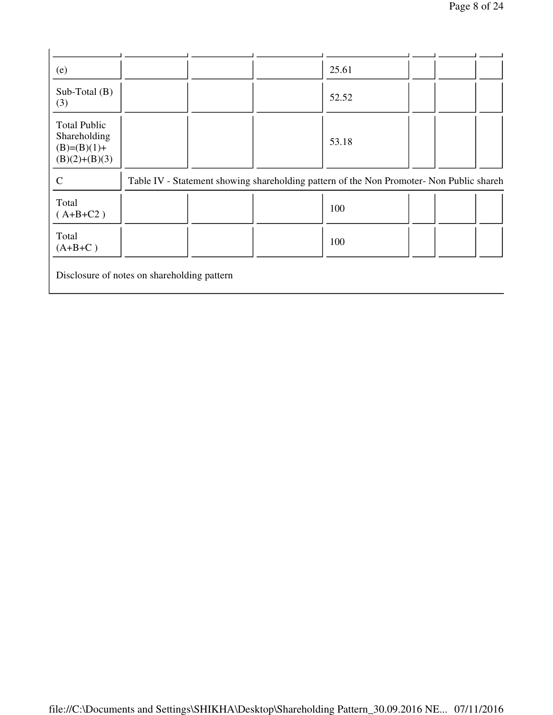| (e)                                                                     |  | 25.61                                                                                    |  |  |
|-------------------------------------------------------------------------|--|------------------------------------------------------------------------------------------|--|--|
| Sub-Total $(B)$<br>(3)                                                  |  | 52.52                                                                                    |  |  |
| <b>Total Public</b><br>Shareholding<br>$(B)=(B)(1)+$<br>$(B)(2)+(B)(3)$ |  | 53.18                                                                                    |  |  |
| $\mathsf{C}$                                                            |  | Table IV - Statement showing shareholding pattern of the Non Promoter- Non Public shareh |  |  |
| Total<br>$(A+B+C2)$                                                     |  | 100                                                                                      |  |  |
| Total<br>$(A+B+C)$                                                      |  | 100                                                                                      |  |  |

Disclosure of notes on shareholding pattern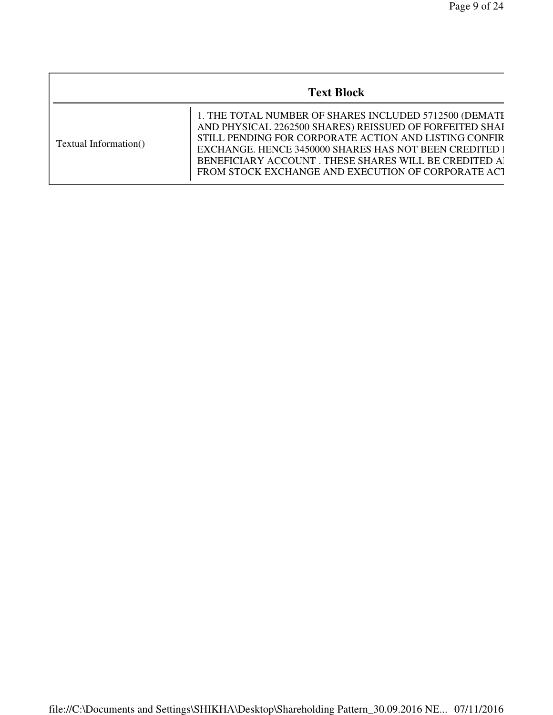|                       | <b>Text Block</b>                                                                                                                                                                                                                                                                                                                                  |
|-----------------------|----------------------------------------------------------------------------------------------------------------------------------------------------------------------------------------------------------------------------------------------------------------------------------------------------------------------------------------------------|
| Textual Information() | 1. THE TOTAL NUMBER OF SHARES INCLUDED 5712500 (DEMATI<br>AND PHYSICAL 2262500 SHARES) REISSUED OF FORFEITED SHAI<br>STILL PENDING FOR CORPORATE ACTION AND LISTING CONFIR<br>EXCHANGE. HENCE 3450000 SHARES HAS NOT BEEN CREDITED I<br>BENEFICIARY ACCOUNT. THESE SHARES WILL BE CREDITED A<br>FROM STOCK EXCHANGE AND EXECUTION OF CORPORATE ACT |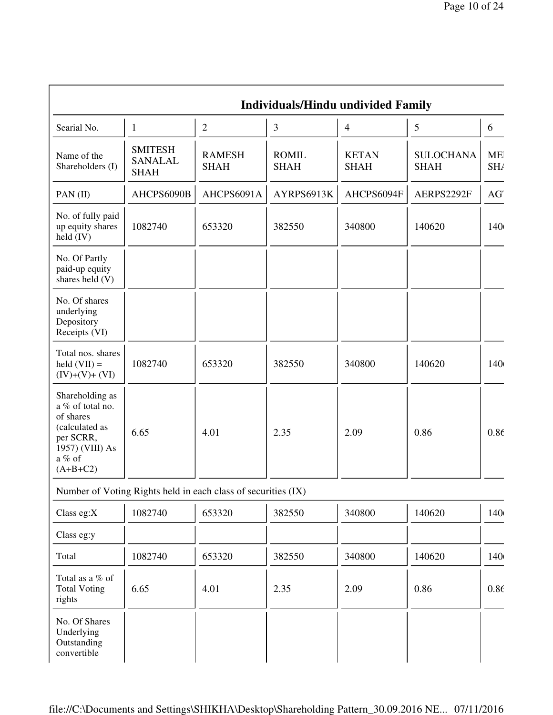|                                                                                                                            |                                                               |                              | Individuals/Hindu undivided Family |                             |                                 |            |
|----------------------------------------------------------------------------------------------------------------------------|---------------------------------------------------------------|------------------------------|------------------------------------|-----------------------------|---------------------------------|------------|
| Searial No.                                                                                                                | $\mathbf{1}$                                                  | $\overline{2}$               | 3                                  | $\overline{4}$              | 5                               | 6          |
| Name of the<br>Shareholders (I)                                                                                            | <b>SMITESH</b><br><b>SANALAL</b><br><b>SHAH</b>               | <b>RAMESH</b><br><b>SHAH</b> | <b>ROMIL</b><br><b>SHAH</b>        | <b>KETAN</b><br><b>SHAH</b> | <b>SULOCHANA</b><br><b>SHAH</b> | ME.<br>SH/ |
| PAN (II)                                                                                                                   | AHCPS6090B                                                    | AHCPS6091A                   | AYRPS6913K                         | AHCPS6094F                  | AERPS2292F                      | AG'        |
| No. of fully paid<br>up equity shares<br>held $(IV)$                                                                       | 1082740                                                       | 653320                       | 382550                             | 340800                      | 140620                          | 140        |
| No. Of Partly<br>paid-up equity<br>shares held $(V)$                                                                       |                                                               |                              |                                    |                             |                                 |            |
| No. Of shares<br>underlying<br>Depository<br>Receipts (VI)                                                                 |                                                               |                              |                                    |                             |                                 |            |
| Total nos. shares<br>$\text{held} (\text{VII}) =$<br>$(IV)+(V)+(VI)$                                                       | 1082740                                                       | 653320                       | 382550                             | 340800                      | 140620                          | 140        |
| Shareholding as<br>a % of total no.<br>of shares<br>(calculated as<br>per SCRR,<br>1957) (VIII) As<br>a % of<br>$(A+B+C2)$ | 6.65                                                          | 4.01                         | 2.35                               | 2.09                        | 0.86                            | 0.86       |
|                                                                                                                            | Number of Voting Rights held in each class of securities (IX) |                              |                                    |                             |                                 |            |
| Class eg:X                                                                                                                 | 1082740                                                       | 653320                       | 382550                             | 340800                      | 140620                          | 140        |
| Class eg:y                                                                                                                 |                                                               |                              |                                    |                             |                                 |            |
| Total                                                                                                                      | 1082740                                                       | 653320                       | 382550                             | 340800                      | 140620                          | 140        |
| Total as a % of<br><b>Total Voting</b><br>rights                                                                           | 6.65                                                          | 4.01                         | 2.35                               | 2.09                        | 0.86                            | 0.86       |
| No. Of Shares<br>Underlying<br>Outstanding<br>convertible                                                                  |                                                               |                              |                                    |                             |                                 |            |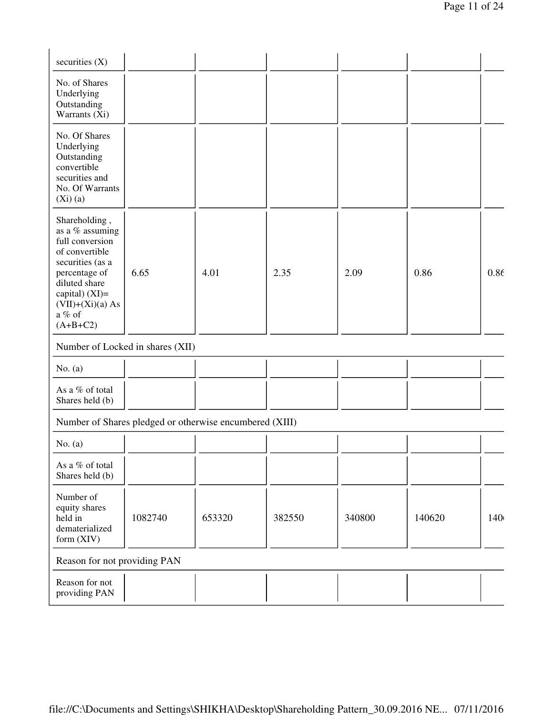| securities $(X)$                                                                                                                                                                              |                                  |                                                         |        |        |        |      |
|-----------------------------------------------------------------------------------------------------------------------------------------------------------------------------------------------|----------------------------------|---------------------------------------------------------|--------|--------|--------|------|
| No. of Shares<br>Underlying<br>Outstanding<br>Warrants (Xi)                                                                                                                                   |                                  |                                                         |        |        |        |      |
| No. Of Shares<br>Underlying<br>Outstanding<br>convertible<br>securities and<br>No. Of Warrants<br>$(Xi)$ (a)                                                                                  |                                  |                                                         |        |        |        |      |
| Shareholding,<br>as a % assuming<br>full conversion<br>of convertible<br>securities (as a<br>percentage of<br>diluted share<br>capital) $(XI)=$<br>$(VII)+(Xi)(a) As$<br>a % of<br>$(A+B+C2)$ | 6.65                             | 4.01                                                    | 2.35   | 2.09   | 0.86   | 0.86 |
|                                                                                                                                                                                               | Number of Locked in shares (XII) |                                                         |        |        |        |      |
| No. $(a)$                                                                                                                                                                                     |                                  |                                                         |        |        |        |      |
| As a % of total<br>Shares held (b)                                                                                                                                                            |                                  |                                                         |        |        |        |      |
|                                                                                                                                                                                               |                                  | Number of Shares pledged or otherwise encumbered (XIII) |        |        |        |      |
| No. $(a)$                                                                                                                                                                                     |                                  |                                                         |        |        |        |      |
| As a % of total<br>Shares held (b)                                                                                                                                                            |                                  |                                                         |        |        |        |      |
| Number of<br>equity shares<br>held in<br>dematerialized<br>form (XIV)                                                                                                                         | 1082740                          | 653320                                                  | 382550 | 340800 | 140620 | 140  |
| Reason for not providing PAN                                                                                                                                                                  |                                  |                                                         |        |        |        |      |
| Reason for not<br>providing PAN                                                                                                                                                               |                                  |                                                         |        |        |        |      |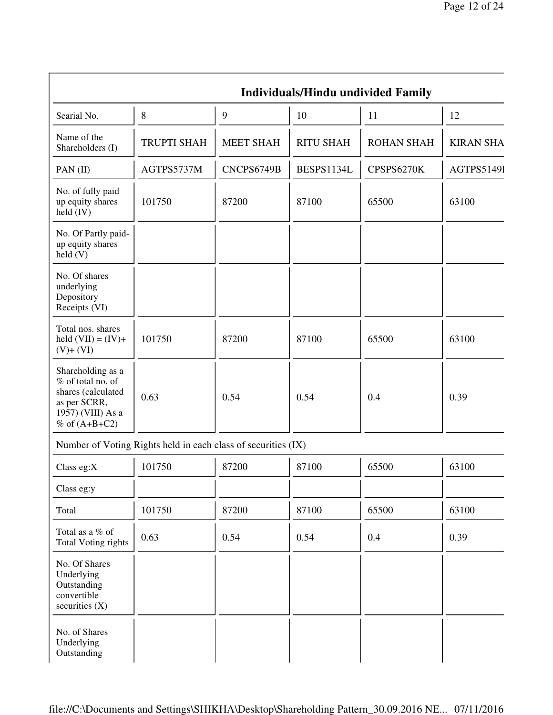|                                                                                                                        |                                                               |                  |                  | <b>Individuals/Hindu undivided Family</b> |                  |
|------------------------------------------------------------------------------------------------------------------------|---------------------------------------------------------------|------------------|------------------|-------------------------------------------|------------------|
| Searial No.                                                                                                            | 8                                                             | 9                | 10               | 11                                        | 12               |
| Name of the<br>Shareholders (I)                                                                                        | <b>TRUPTI SHAH</b>                                            | <b>MEET SHAH</b> | <b>RITU SHAH</b> | <b>ROHAN SHAH</b>                         | <b>KIRAN SHA</b> |
| PAN $(II)$                                                                                                             | AGTPS5737M                                                    | CNCPS6749B       | BESPS1134L       | CPSPS6270K                                | AGTPS51491       |
| No. of fully paid<br>up equity shares<br>$\text{held (IV)}$                                                            | 101750                                                        | 87200            | 87100            | 65500                                     | 63100            |
| No. Of Partly paid-<br>up equity shares<br>$\text{held}(V)$                                                            |                                                               |                  |                  |                                           |                  |
| No. Of shares<br>underlying<br>Depository<br>Receipts (VI)                                                             |                                                               |                  |                  |                                           |                  |
| Total nos. shares<br>held $(VII) = (IV) +$<br>$(V)+(VI)$                                                               | 101750                                                        | 87200            | 87100            | 65500                                     | 63100            |
| Shareholding as a<br>% of total no. of<br>shares (calculated<br>as per SCRR,<br>1957) (VIII) As a<br>$%$ of $(A+B+C2)$ | 0.63                                                          | 0.54             | 0.54             | 0.4                                       | 0.39             |
|                                                                                                                        | Number of Voting Rights held in each class of securities (IX) |                  |                  |                                           |                  |
| Class eg:X                                                                                                             | 101750                                                        | 87200            | 87100            | 65500                                     | 63100            |
| Class eg:y                                                                                                             |                                                               |                  |                  |                                           |                  |
| Total                                                                                                                  | 101750                                                        | 87200            | 87100            | 65500                                     | 63100            |
| Total as a % of<br><b>Total Voting rights</b>                                                                          | 0.63                                                          | 0.54             | 0.54             | 0.4                                       | 0.39             |
| No. Of Shares<br>Underlying<br>Outstanding<br>convertible<br>securities $(X)$                                          |                                                               |                  |                  |                                           |                  |
| No. of Shares<br>Underlying<br>Outstanding                                                                             |                                                               |                  |                  |                                           |                  |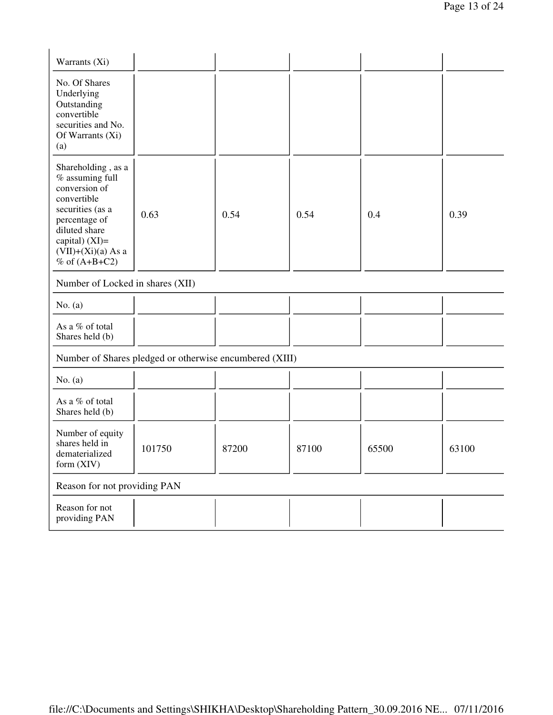| Warrants (Xi)                                                                                                                                                                               |                                                         |       |       |       |       |
|---------------------------------------------------------------------------------------------------------------------------------------------------------------------------------------------|---------------------------------------------------------|-------|-------|-------|-------|
| No. Of Shares<br>Underlying<br>Outstanding<br>convertible<br>securities and No.<br>Of Warrants (Xi)<br>(a)                                                                                  |                                                         |       |       |       |       |
| Shareholding, as a<br>% assuming full<br>conversion of<br>convertible<br>securities (as a<br>percentage of<br>diluted share<br>capital) $(XI)$ =<br>$(VII)+(Xi)(a)$ As a<br>% of $(A+B+C2)$ | 0.63                                                    | 0.54  | 0.54  | 0.4   | 0.39  |
| Number of Locked in shares (XII)                                                                                                                                                            |                                                         |       |       |       |       |
| No. $(a)$                                                                                                                                                                                   |                                                         |       |       |       |       |
| As a % of total<br>Shares held (b)                                                                                                                                                          |                                                         |       |       |       |       |
|                                                                                                                                                                                             | Number of Shares pledged or otherwise encumbered (XIII) |       |       |       |       |
| No. $(a)$                                                                                                                                                                                   |                                                         |       |       |       |       |
| As a % of total<br>Shares held (b)                                                                                                                                                          |                                                         |       |       |       |       |
| Number of equity<br>shares held in<br>dematerialized<br>form (XIV)                                                                                                                          | 101750                                                  | 87200 | 87100 | 65500 | 63100 |
| Reason for not providing PAN                                                                                                                                                                |                                                         |       |       |       |       |
| Reason for not<br>providing PAN                                                                                                                                                             |                                                         |       |       |       |       |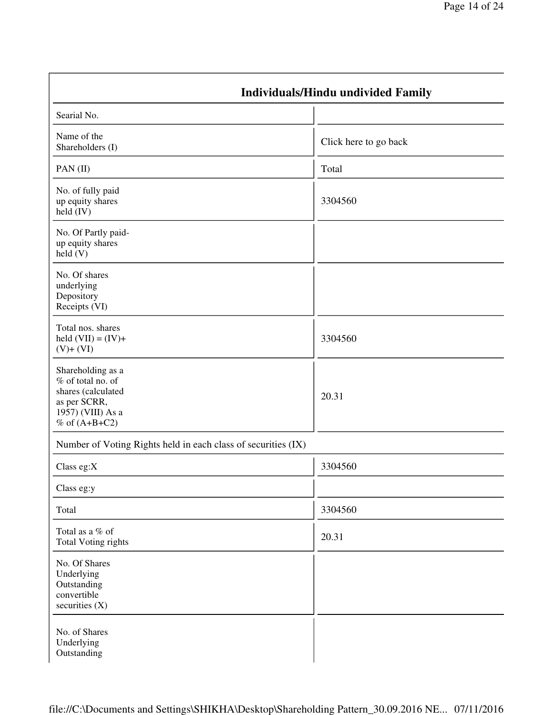|                                                                                                                        | <b>Individuals/Hindu undivided Family</b> |
|------------------------------------------------------------------------------------------------------------------------|-------------------------------------------|
| Searial No.                                                                                                            |                                           |
| Name of the<br>Shareholders (I)                                                                                        | Click here to go back                     |
| PAN $(II)$                                                                                                             | Total                                     |
| No. of fully paid<br>up equity shares<br>$\text{held (IV)}$                                                            | 3304560                                   |
| No. Of Partly paid-<br>up equity shares<br>$\text{held}(V)$                                                            |                                           |
| No. Of shares<br>underlying<br>Depository<br>Receipts (VI)                                                             |                                           |
| Total nos. shares<br>held $(VII) = (IV) +$<br>$(V)+(VI)$                                                               | 3304560                                   |
| Shareholding as a<br>% of total no. of<br>shares (calculated<br>as per SCRR,<br>1957) (VIII) As a<br>$%$ of $(A+B+C2)$ | 20.31                                     |
| Number of Voting Rights held in each class of securities (IX)                                                          |                                           |
| Class eg: $X$                                                                                                          | 3304560                                   |
| Class eg:y                                                                                                             |                                           |
| Total                                                                                                                  | 3304560                                   |
| Total as a % of<br><b>Total Voting rights</b>                                                                          | 20.31                                     |
| No. Of Shares<br>Underlying<br>Outstanding<br>convertible<br>securities $(X)$                                          |                                           |
| No. of Shares<br>Underlying<br>Outstanding                                                                             |                                           |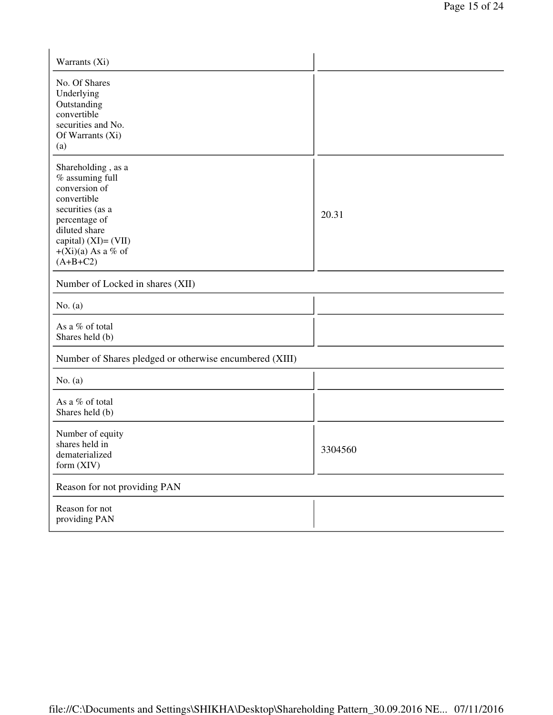| Warrants (Xi)                                                                                                                                                                                |         |  |  |
|----------------------------------------------------------------------------------------------------------------------------------------------------------------------------------------------|---------|--|--|
| No. Of Shares<br>Underlying<br>Outstanding<br>convertible<br>securities and No.<br>Of Warrants (Xi)<br>(a)                                                                                   |         |  |  |
| Shareholding, as a<br>% assuming full<br>conversion of<br>convertible<br>securities (as a<br>percentage of<br>diluted share<br>capital) $(XI) = (VII)$<br>$+(Xi)(a)$ As a % of<br>$(A+B+C2)$ | 20.31   |  |  |
| Number of Locked in shares (XII)                                                                                                                                                             |         |  |  |
| No. $(a)$                                                                                                                                                                                    |         |  |  |
| As a % of total<br>Shares held (b)                                                                                                                                                           |         |  |  |
| Number of Shares pledged or otherwise encumbered (XIII)                                                                                                                                      |         |  |  |
| No. $(a)$                                                                                                                                                                                    |         |  |  |
| As a % of total<br>Shares held (b)                                                                                                                                                           |         |  |  |
| Number of equity<br>shares held in<br>dematerialized<br>form $(XIV)$                                                                                                                         | 3304560 |  |  |
| Reason for not providing PAN                                                                                                                                                                 |         |  |  |
| Reason for not<br>providing PAN                                                                                                                                                              |         |  |  |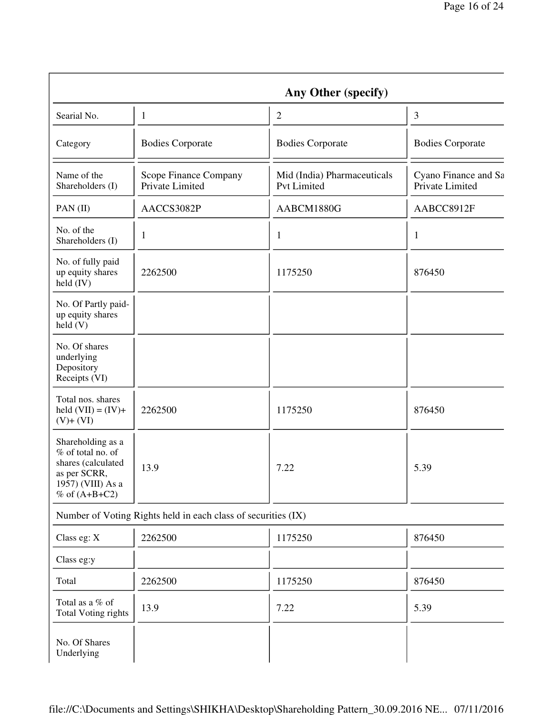|                                                                                                                        |                                                               | Any Other (specify)                               |                                         |
|------------------------------------------------------------------------------------------------------------------------|---------------------------------------------------------------|---------------------------------------------------|-----------------------------------------|
| Searial No.                                                                                                            | $\mathbf{1}$                                                  | $\overline{2}$                                    | 3                                       |
| Category                                                                                                               | <b>Bodies Corporate</b>                                       | <b>Bodies Corporate</b>                           | <b>Bodies Corporate</b>                 |
| Name of the<br>Shareholders (I)                                                                                        | Scope Finance Company<br>Private Limited                      | Mid (India) Pharmaceuticals<br><b>Pvt Limited</b> | Cyano Finance and Sa<br>Private Limited |
| PAN (II)                                                                                                               | AACCS3082P                                                    | AABCM1880G                                        | AABCC8912F                              |
| No. of the<br>Shareholders (I)                                                                                         | 1                                                             | $\mathbf{1}$                                      | $\mathbf{1}$                            |
| No. of fully paid<br>up equity shares<br>held $(IV)$                                                                   | 2262500                                                       | 1175250                                           | 876450                                  |
| No. Of Partly paid-<br>up equity shares<br>$\text{held}(V)$                                                            |                                                               |                                                   |                                         |
| No. Of shares<br>underlying<br>Depository<br>Receipts (VI)                                                             |                                                               |                                                   |                                         |
| Total nos. shares<br>held $(VII) = (IV) +$<br>$(V)+(VI)$                                                               | 2262500                                                       | 1175250                                           | 876450                                  |
| Shareholding as a<br>% of total no. of<br>shares (calculated<br>as per SCRR,<br>1957) (VIII) As a<br>$%$ of $(A+B+C2)$ | 13.9                                                          | 7.22                                              | 5.39                                    |
|                                                                                                                        | Number of Voting Rights held in each class of securities (IX) |                                                   |                                         |
| Class eg: X                                                                                                            | 2262500                                                       | 1175250                                           | 876450                                  |
| Class eg:y                                                                                                             |                                                               |                                                   |                                         |
| Total                                                                                                                  | 2262500                                                       | 1175250                                           | 876450                                  |
| Total as a % of<br><b>Total Voting rights</b>                                                                          | 13.9                                                          | 7.22                                              | 5.39                                    |
| No. Of Shares<br>Underlying                                                                                            |                                                               |                                                   |                                         |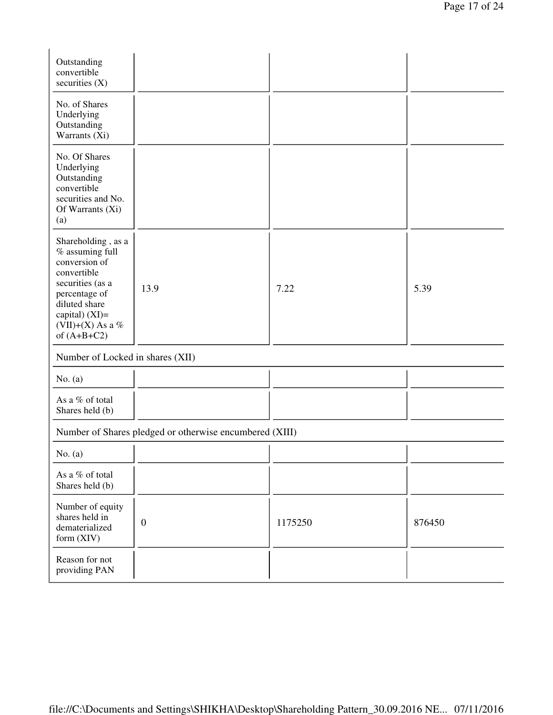| Outstanding<br>convertible<br>securities $(X)$                                                                                                                                       |                                                         |         |        |
|--------------------------------------------------------------------------------------------------------------------------------------------------------------------------------------|---------------------------------------------------------|---------|--------|
| No. of Shares<br>Underlying<br>Outstanding<br>Warrants (Xi)                                                                                                                          |                                                         |         |        |
| No. Of Shares<br>Underlying<br>Outstanding<br>convertible<br>securities and No.<br>Of Warrants (Xi)<br>(a)                                                                           |                                                         |         |        |
| Shareholding, as a<br>% assuming full<br>conversion of<br>convertible<br>securities (as a<br>percentage of<br>diluted share<br>capital) $(XI)=$<br>(VII)+(X) As a %<br>of $(A+B+C2)$ | 13.9                                                    | 7.22    | 5.39   |
| Number of Locked in shares (XII)                                                                                                                                                     |                                                         |         |        |
| No. $(a)$                                                                                                                                                                            |                                                         |         |        |
| As a % of total<br>Shares held (b)                                                                                                                                                   |                                                         |         |        |
|                                                                                                                                                                                      | Number of Shares pledged or otherwise encumbered (XIII) |         |        |
| No. $(a)$                                                                                                                                                                            |                                                         |         |        |
| As a % of total<br>Shares held (b)                                                                                                                                                   |                                                         |         |        |
| Number of equity<br>shares held in<br>dematerialized<br>form (XIV)                                                                                                                   | $\boldsymbol{0}$                                        | 1175250 | 876450 |
| Reason for not<br>providing PAN                                                                                                                                                      |                                                         |         |        |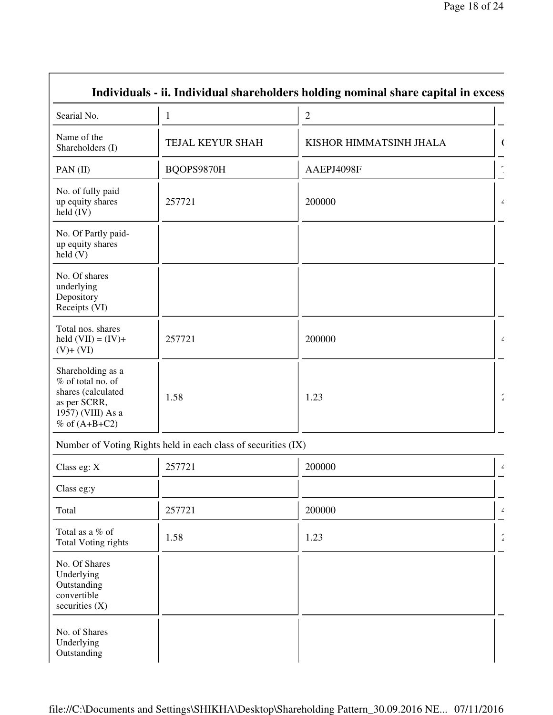|                                                                                                                      |                                                               | Individuals - ii. Individual shareholders holding nominal share capital in excess |                      |
|----------------------------------------------------------------------------------------------------------------------|---------------------------------------------------------------|-----------------------------------------------------------------------------------|----------------------|
| Searial No.                                                                                                          | $\mathbf{1}$                                                  | $\overline{2}$                                                                    |                      |
| Name of the<br>Shareholders (I)                                                                                      | TEJAL KEYUR SHAH                                              | KISHOR HIMMATSINH JHALA                                                           |                      |
| PAN (II)                                                                                                             | BQOPS9870H                                                    | AAEPJ4098F                                                                        |                      |
| No. of fully paid<br>up equity shares<br>$\text{held (IV)}$                                                          | 257721                                                        | 200000                                                                            | $\angle$             |
| No. Of Partly paid-<br>up equity shares<br>$\text{held}(V)$                                                          |                                                               |                                                                                   |                      |
| No. Of shares<br>underlying<br>Depository<br>Receipts (VI)                                                           |                                                               |                                                                                   |                      |
| Total nos. shares<br>held $(VII) = (IV) +$<br>$(V)+(VI)$                                                             | 257721                                                        | 200000                                                                            | $\angle$             |
| Shareholding as a<br>% of total no. of<br>shares (calculated<br>as per SCRR,<br>1957) (VIII) As a<br>$%$ of (A+B+C2) | 1.58                                                          | 1.23                                                                              | $\frac{\epsilon}{2}$ |
|                                                                                                                      | Number of Voting Rights held in each class of securities (IX) |                                                                                   |                      |
| Class eg: X                                                                                                          | 257721                                                        | 200000                                                                            | $\angle$             |
| Class eg:y                                                                                                           |                                                               |                                                                                   |                      |
| Total                                                                                                                | 257721                                                        | 200000                                                                            | $\angle$             |
| Total as a % of<br><b>Total Voting rights</b>                                                                        | 1.58                                                          | 1.23                                                                              | $\pmb{\angle}$       |
| No. Of Shares<br>Underlying<br>Outstanding<br>convertible<br>securities $(X)$                                        |                                                               |                                                                                   |                      |
| No. of Shares<br>Underlying<br>Outstanding                                                                           |                                                               |                                                                                   |                      |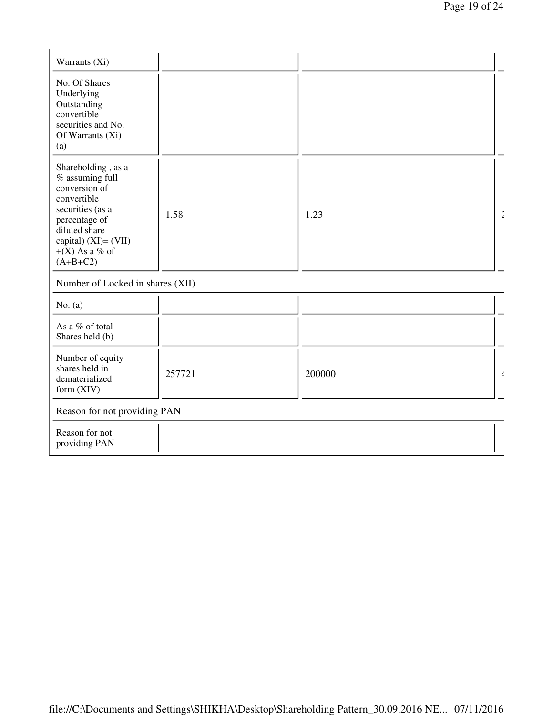| Warrants (Xi)                                                                                                                                                                               |        |        |                    |
|---------------------------------------------------------------------------------------------------------------------------------------------------------------------------------------------|--------|--------|--------------------|
| No. Of Shares<br>Underlying<br>Outstanding<br>convertible<br>securities and No.<br>Of Warrants (Xi)<br>(a)                                                                                  |        |        |                    |
| Shareholding, as a<br>$\%$ assuming full<br>conversion of<br>convertible<br>securities (as a<br>percentage of<br>diluted share<br>capital) $(XI) = (VII)$<br>$+(X)$ As a % of<br>$(A+B+C2)$ | 1.58   | 1.23   | $\hat{\mathbf{z}}$ |
| Number of Locked in shares (XII)                                                                                                                                                            |        |        |                    |
| No. $(a)$                                                                                                                                                                                   |        |        |                    |
| As a % of total<br>Shares held (b)                                                                                                                                                          |        |        |                    |
| Number of equity<br>shares held in<br>dematerialized<br>form (XIV)                                                                                                                          | 257721 | 200000 | $\angle$           |
| Reason for not providing PAN                                                                                                                                                                |        |        |                    |
| Reason for not<br>providing PAN                                                                                                                                                             |        |        |                    |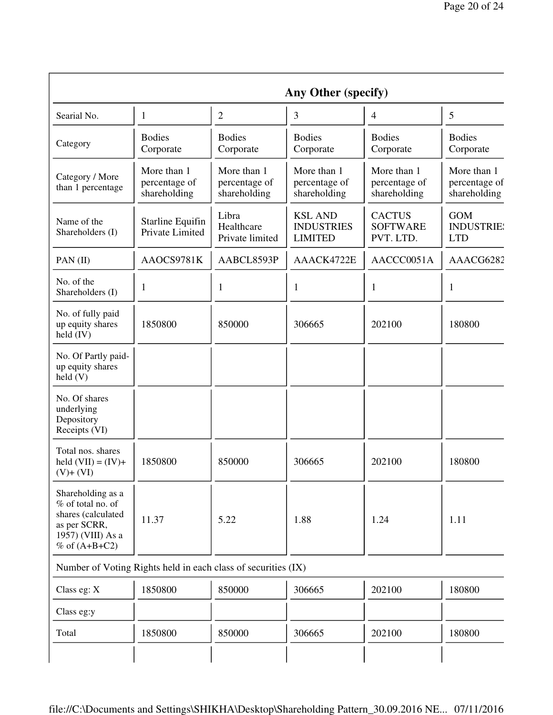|                                                                                                                        |                                              |                                              | Any Other (specify)                                   |                                               |                                               |
|------------------------------------------------------------------------------------------------------------------------|----------------------------------------------|----------------------------------------------|-------------------------------------------------------|-----------------------------------------------|-----------------------------------------------|
| Searial No.                                                                                                            | 1                                            | $\overline{2}$                               | 3                                                     | 4                                             | 5                                             |
| Category                                                                                                               | <b>Bodies</b><br>Corporate                   | <b>Bodies</b><br>Corporate                   | <b>Bodies</b><br>Corporate                            | <b>Bodies</b><br>Corporate                    | <b>Bodies</b><br>Corporate                    |
| Category / More<br>than 1 percentage                                                                                   | More than 1<br>percentage of<br>shareholding | More than 1<br>percentage of<br>shareholding | More than 1<br>percentage of<br>shareholding          | More than 1<br>percentage of<br>shareholding  | More than 1<br>percentage of<br>shareholding  |
| Name of the<br>Shareholders (I)                                                                                        | <b>Starline Equifin</b><br>Private Limited   | Libra<br>Healthcare<br>Private limited       | <b>KSL AND</b><br><b>INDUSTRIES</b><br><b>LIMITED</b> | <b>CACTUS</b><br><b>SOFTWARE</b><br>PVT. LTD. | <b>GOM</b><br><b>INDUSTRIE:</b><br><b>LTD</b> |
| PAN (II)                                                                                                               | AAOCS9781K                                   | AABCL8593P                                   | AAACK4722E                                            | AACCC0051A                                    | AAACG6282                                     |
| No. of the<br>Shareholders (I)                                                                                         | 1                                            | 1                                            | 1                                                     | 1                                             | 1                                             |
| No. of fully paid<br>up equity shares<br>held $(IV)$                                                                   | 1850800                                      | 850000                                       | 306665                                                | 202100                                        | 180800                                        |
| No. Of Partly paid-<br>up equity shares<br>$\text{held}(V)$                                                            |                                              |                                              |                                                       |                                               |                                               |
| No. Of shares<br>underlying<br>Depository<br>Receipts (VI)                                                             |                                              |                                              |                                                       |                                               |                                               |
| Total nos. shares<br>held $(VII) = (IV) +$<br>$(V)+(VI)$                                                               | 1850800                                      | 850000                                       | 306665                                                | 202100                                        | 180800                                        |
| Shareholding as a<br>% of total no. of<br>shares (calculated<br>as per SCRR,<br>1957) (VIII) As a<br>$%$ of $(A+B+C2)$ | 11.37                                        | 5.22                                         | 1.88                                                  | 1.24                                          | 1.11                                          |
| Number of Voting Rights held in each class of securities (IX)                                                          |                                              |                                              |                                                       |                                               |                                               |
| Class eg: X                                                                                                            | 1850800                                      | 850000                                       | 306665                                                | 202100                                        | 180800                                        |
| Class eg:y                                                                                                             |                                              |                                              |                                                       |                                               |                                               |
| Total                                                                                                                  | 1850800                                      | 850000                                       | 306665                                                | 202100                                        | 180800                                        |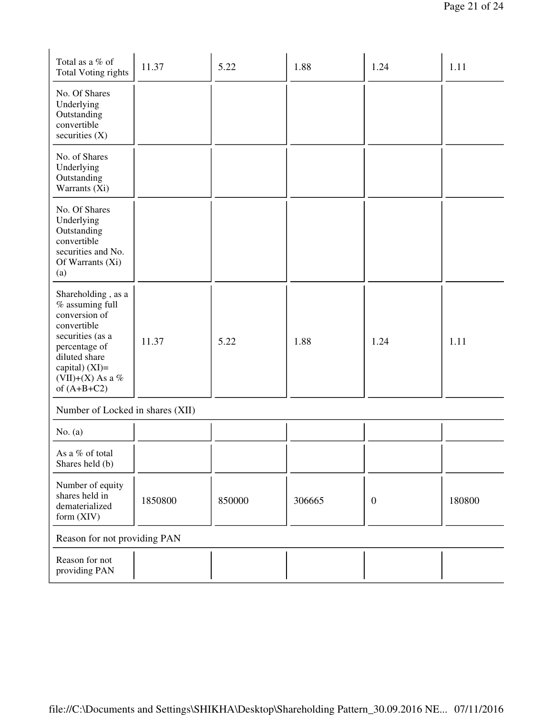| Total as a % of<br><b>Total Voting rights</b>                                                                                                                                        | 11.37   | 5.22   | 1.88   | 1.24         | 1.11   |
|--------------------------------------------------------------------------------------------------------------------------------------------------------------------------------------|---------|--------|--------|--------------|--------|
| No. Of Shares<br>Underlying<br>Outstanding<br>convertible<br>securities $(X)$                                                                                                        |         |        |        |              |        |
| No. of Shares<br>Underlying<br>Outstanding<br>Warrants (Xi)                                                                                                                          |         |        |        |              |        |
| No. Of Shares<br>Underlying<br>Outstanding<br>convertible<br>securities and No.<br>Of Warrants (Xi)<br>(a)                                                                           |         |        |        |              |        |
| Shareholding, as a<br>% assuming full<br>conversion of<br>convertible<br>securities (as a<br>percentage of<br>diluted share<br>capital) $(XI)=$<br>(VII)+(X) As a %<br>of $(A+B+C2)$ | 11.37   | 5.22   | 1.88   | 1.24         | 1.11   |
| Number of Locked in shares (XII)                                                                                                                                                     |         |        |        |              |        |
| No. $(a)$                                                                                                                                                                            |         |        |        |              |        |
| As a % of total<br>Shares held (b)                                                                                                                                                   |         |        |        |              |        |
| Number of equity<br>shares held in<br>dematerialized<br>form (XIV)                                                                                                                   | 1850800 | 850000 | 306665 | $\mathbf{0}$ | 180800 |
| Reason for not providing PAN                                                                                                                                                         |         |        |        |              |        |
| Reason for not<br>providing PAN                                                                                                                                                      |         |        |        |              |        |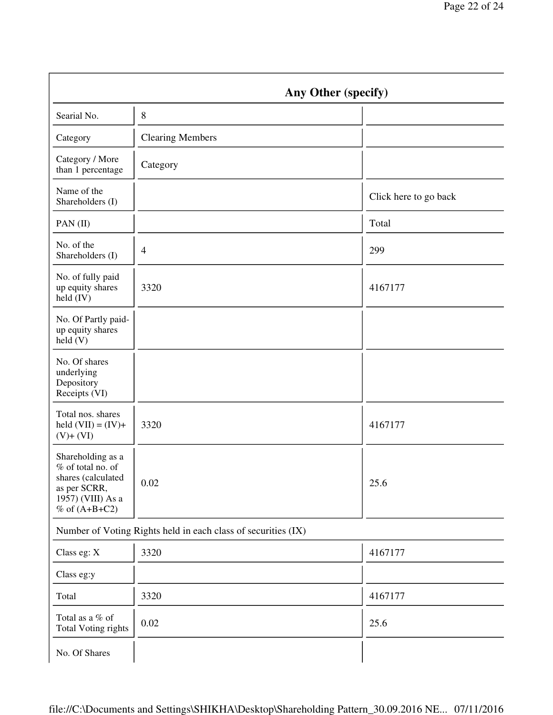|                                                                                                                      | Any Other (specify)     |                       |  |  |
|----------------------------------------------------------------------------------------------------------------------|-------------------------|-----------------------|--|--|
| Searial No.                                                                                                          | $8\,$                   |                       |  |  |
| Category                                                                                                             | <b>Clearing Members</b> |                       |  |  |
| Category / More<br>than 1 percentage                                                                                 | Category                |                       |  |  |
| Name of the<br>Shareholders (I)                                                                                      |                         | Click here to go back |  |  |
| PAN(II)                                                                                                              |                         | Total                 |  |  |
| No. of the<br>Shareholders (I)                                                                                       | $\overline{4}$          | 299                   |  |  |
| No. of fully paid<br>up equity shares<br>held (IV)                                                                   | 3320                    | 4167177               |  |  |
| No. Of Partly paid-<br>up equity shares<br>held(V)                                                                   |                         |                       |  |  |
| No. Of shares<br>underlying<br>Depository<br>Receipts (VI)                                                           |                         |                       |  |  |
| Total nos. shares<br>held $(VII) = (IV) +$<br>$(V)+(VI)$                                                             | 3320                    | 4167177               |  |  |
| Shareholding as a<br>% of total no. of<br>shares (calculated<br>as per SCRR,<br>1957) (VIII) As a<br>% of $(A+B+C2)$ | 0.02                    | 25.6                  |  |  |
| Number of Voting Rights held in each class of securities (IX)                                                        |                         |                       |  |  |
| Class eg: X                                                                                                          | 3320                    | 4167177               |  |  |
| Class eg:y                                                                                                           |                         |                       |  |  |
| Total                                                                                                                | 3320                    | 4167177               |  |  |
| Total as a % of<br><b>Total Voting rights</b>                                                                        | 0.02                    | 25.6                  |  |  |
| No. Of Shares                                                                                                        |                         |                       |  |  |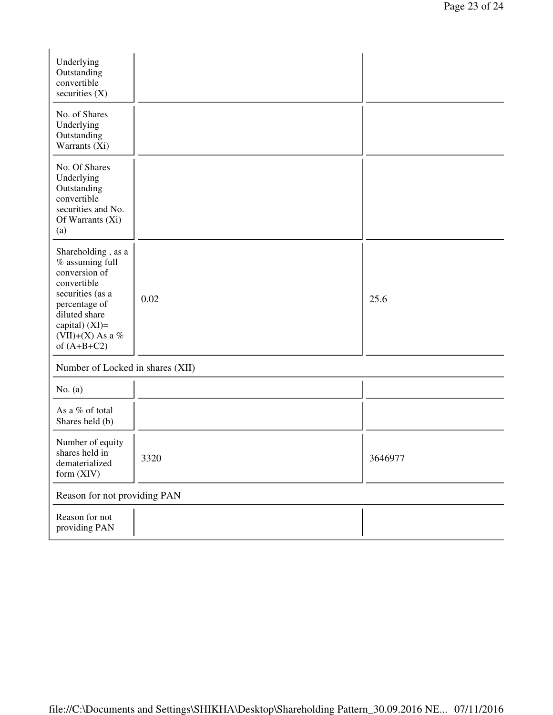| Underlying<br>Outstanding<br>convertible<br>securities $(X)$                                                                                                                         |      |         |  |  |
|--------------------------------------------------------------------------------------------------------------------------------------------------------------------------------------|------|---------|--|--|
| No. of Shares<br>Underlying<br>Outstanding<br>Warrants (Xi)                                                                                                                          |      |         |  |  |
| No. Of Shares<br>Underlying<br>Outstanding<br>convertible<br>securities and No.<br>Of Warrants (Xi)<br>(a)                                                                           |      |         |  |  |
| Shareholding, as a<br>% assuming full<br>conversion of<br>convertible<br>securities (as a<br>percentage of<br>diluted share<br>capital) $(XI)=$<br>(VII)+(X) As a %<br>of $(A+B+C2)$ | 0.02 | 25.6    |  |  |
| Number of Locked in shares (XII)                                                                                                                                                     |      |         |  |  |
| No. $(a)$                                                                                                                                                                            |      |         |  |  |
| As a % of total<br>Shares held (b)                                                                                                                                                   |      |         |  |  |
| Number of equity<br>shares held in<br>dematerialized<br>form (XIV)                                                                                                                   | 3320 | 3646977 |  |  |
| Reason for not providing PAN                                                                                                                                                         |      |         |  |  |
| Reason for not<br>providing PAN                                                                                                                                                      |      |         |  |  |